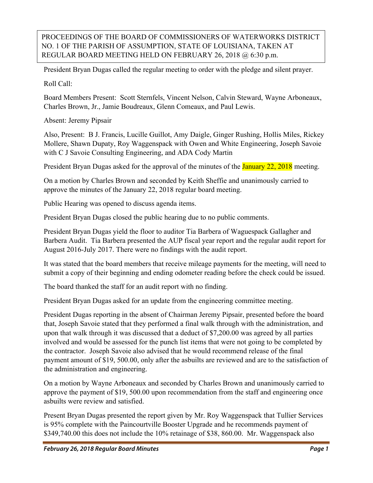## PROCEEDINGS OF THE BOARD OF COMMISSIONERS OF WATERWORKS DISTRICT NO. 1 OF THE PARISH OF ASSUMPTION, STATE OF LOUISIANA, TAKEN AT REGULAR BOARD MEETING HELD ON FEBRUARY 26, 2018 @ 6:30 p.m.

President Bryan Dugas called the regular meeting to order with the pledge and silent prayer.

Roll Call:

Board Members Present: Scott Sternfels, Vincent Nelson, Calvin Steward, Wayne Arboneaux, Charles Brown, Jr., Jamie Boudreaux, Glenn Comeaux, and Paul Lewis.

Absent: Jeremy Pipsair

Also, Present: B J. Francis, Lucille Guillot, Amy Daigle, Ginger Rushing, Hollis Miles, Rickey Mollere, Shawn Dupaty, Roy Waggenspack with Owen and White Engineering, Joseph Savoie with C J Savoie Consulting Engineering, and ADA Cody Martin

President Bryan Dugas asked for the approval of the minutes of the **January 22, 2018** meeting.

On a motion by Charles Brown and seconded by Keith Sheffie and unanimously carried to approve the minutes of the January 22, 2018 regular board meeting.

Public Hearing was opened to discuss agenda items.

President Bryan Dugas closed the public hearing due to no public comments.

President Bryan Dugas yield the floor to auditor Tia Barbera of Waguespack Gallagher and Barbera Audit. Tia Barbera presented the AUP fiscal year report and the regular audit report for August 2016-July 2017. There were no findings with the audit report.

It was stated that the board members that receive mileage payments for the meeting, will need to submit a copy of their beginning and ending odometer reading before the check could be issued.

The board thanked the staff for an audit report with no finding.

President Bryan Dugas asked for an update from the engineering committee meeting.

President Dugas reporting in the absent of Chairman Jeremy Pipsair, presented before the board that, Joseph Savoie stated that they performed a final walk through with the administration, and upon that walk through it was discussed that a deduct of \$7,200.00 was agreed by all parties involved and would be assessed for the punch list items that were not going to be completed by the contractor. Joseph Savoie also advised that he would recommend release of the final payment amount of \$19, 500.00, only after the asbuilts are reviewed and are to the satisfaction of the administration and engineering.

On a motion by Wayne Arboneaux and seconded by Charles Brown and unanimously carried to approve the payment of \$19, 500.00 upon recommendation from the staff and engineering once asbuilts were review and satisfied.

Present Bryan Dugas presented the report given by Mr. Roy Waggenspack that Tullier Services is 95% complete with the Paincourtville Booster Upgrade and he recommends payment of \$349,740.00 this does not include the 10% retainage of \$38, 860.00. Mr. Waggenspack also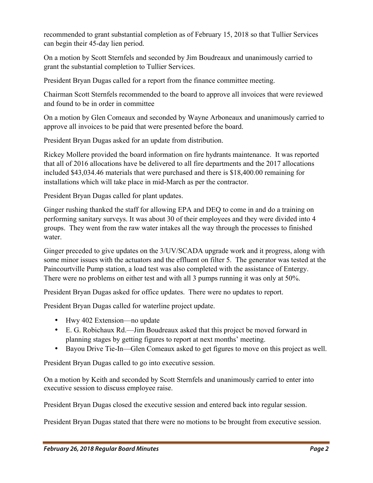recommended to grant substantial completion as of February 15, 2018 so that Tullier Services can begin their 45-day lien period.

On a motion by Scott Sternfels and seconded by Jim Boudreaux and unanimously carried to grant the substantial completion to Tullier Services.

President Bryan Dugas called for a report from the finance committee meeting.

Chairman Scott Sternfels recommended to the board to approve all invoices that were reviewed and found to be in order in committee

On a motion by Glen Comeaux and seconded by Wayne Arboneaux and unanimously carried to approve all invoices to be paid that were presented before the board.

President Bryan Dugas asked for an update from distribution.

Rickey Mollere provided the board information on fire hydrants maintenance. It was reported that all of 2016 allocations have be delivered to all fire departments and the 2017 allocations included \$43,034.46 materials that were purchased and there is \$18,400.00 remaining for installations which will take place in mid-March as per the contractor.

President Bryan Dugas called for plant updates.

Ginger rushing thanked the staff for allowing EPA and DEQ to come in and do a training on performing sanitary surveys. It was about 30 of their employees and they were divided into 4 groups. They went from the raw water intakes all the way through the processes to finished water.

Ginger preceded to give updates on the 3/UV/SCADA upgrade work and it progress, along with some minor issues with the actuators and the effluent on filter 5. The generator was tested at the Paincourtville Pump station, a load test was also completed with the assistance of Entergy. There were no problems on either test and with all 3 pumps running it was only at 50%.

President Bryan Dugas asked for office updates. There were no updates to report.

President Bryan Dugas called for waterline project update.

- Hwy 402 Extension—no update
- E. G. Robichaux Rd.—Jim Boudreaux asked that this project be moved forward in planning stages by getting figures to report at next months' meeting.
- Bayou Drive Tie-In—Glen Comeaux asked to get figures to move on this project as well.

President Bryan Dugas called to go into executive session.

On a motion by Keith and seconded by Scott Sternfels and unanimously carried to enter into executive session to discuss employee raise.

President Bryan Dugas closed the executive session and entered back into regular session.

President Bryan Dugas stated that there were no motions to be brought from executive session.